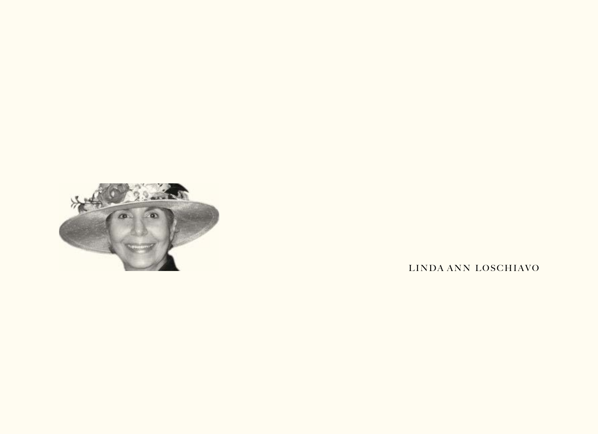

LINDA ANN LOSCHIAVO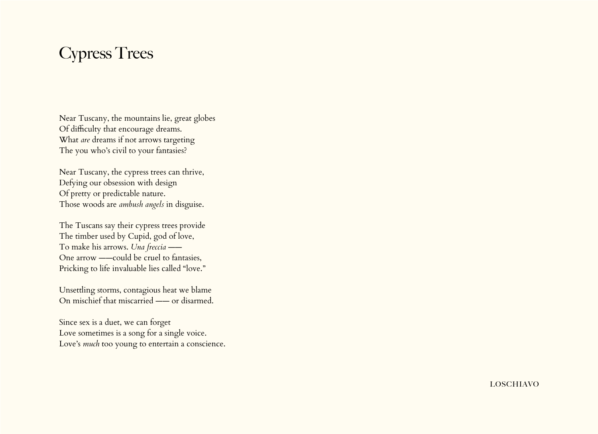## Cypress Trees

Near Tuscany, the mountains lie, great globes Of difficulty that encourage dreams. What *are* dreams if not arrows targeting The you who's civil to your fantasies?

Near Tuscany, the cypress trees can thrive, Defying our obsession with design Of pretty or predictable nature. Those woods are *ambush angels* in disguise.

The Tuscans say their cypress trees provide The timber used by Cupid, god of love, To make his arrows. *Una freccia* —— One arrow ——could be cruel to fantasies, Pricking to life invaluable lies called "love."

Unsettling storms, contagious heat we blame On mischief that miscarried —— or disarmed.

Since sex is a duet, we can forget Love sometimes is a song for a single voice. Love's *much* too young to entertain a conscience.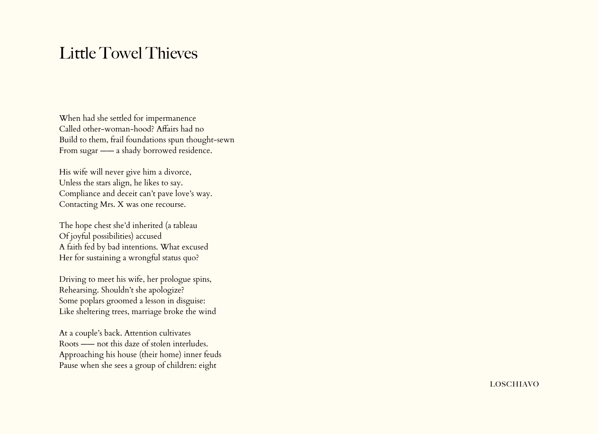## Little Towel Thieves

When had she settled for impermanence Called other-woman-hood? Affairs had no Build to them, frail foundations spun thought-sewn From sugar  $\frac{1}{2}$  a shady borrowed residence.

His wife will never give him a divorce, Unless the stars align, he likes to say. Compliance and deceit can't pave love's way. Contacting Mrs. X was one recourse.

The hope chest she'd inherited (a tableau Of joyful possibilities) accused A faith fed by bad intentions. What excused Her for sustaining a wrongful status quo?

Driving to meet his wife, her prologue spins, Rehearsing. Shouldn't she apologize? Some poplars groomed a lesson in disguise: Like sheltering trees, marriage broke the wind

At a couple's back. Attention cultivates Roots —— not this daze of stolen interludes. Approaching his house (their home) inner feuds Pause when she sees a group of children: eight

loschiavo